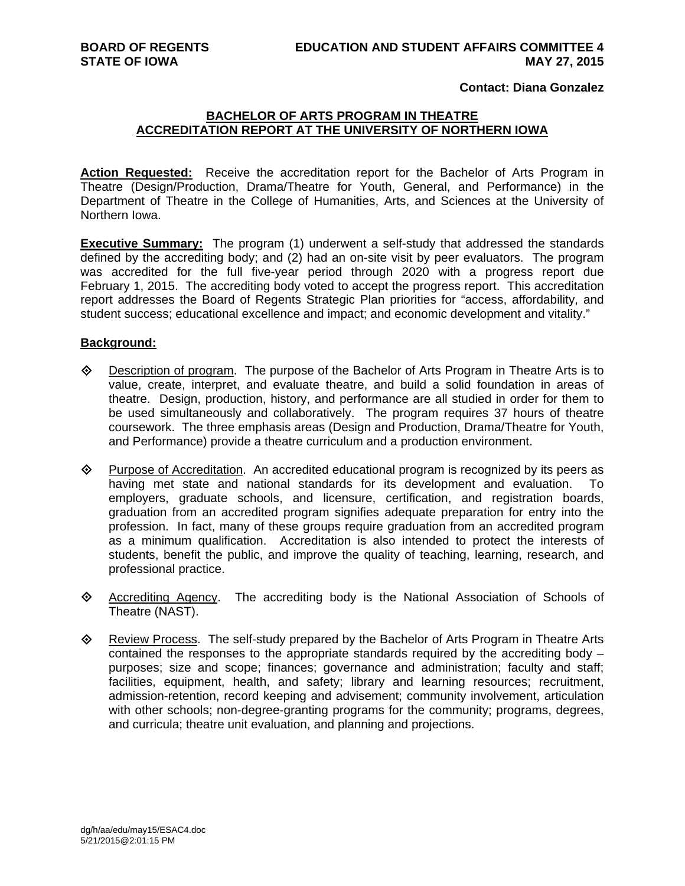# **Contact: Diana Gonzalez**

# **BACHELOR OF ARTS PROGRAM IN THEATRE ACCREDITATION REPORT AT THE UNIVERSITY OF NORTHERN IOWA**

**Action Requested:** Receive the accreditation report for the Bachelor of Arts Program in Theatre (Design/Production, Drama/Theatre for Youth, General, and Performance) in the Department of Theatre in the College of Humanities, Arts, and Sciences at the University of Northern Iowa.

**Executive Summary:** The program (1) underwent a self-study that addressed the standards defined by the accrediting body; and (2) had an on-site visit by peer evaluators. The program was accredited for the full five-year period through 2020 with a progress report due February 1, 2015. The accrediting body voted to accept the progress report. This accreditation report addresses the Board of Regents Strategic Plan priorities for "access, affordability, and student success; educational excellence and impact; and economic development and vitality."

### **Background:**

- $\Diamond$  Description of program. The purpose of the Bachelor of Arts Program in Theatre Arts is to value, create, interpret, and evaluate theatre, and build a solid foundation in areas of theatre. Design, production, history, and performance are all studied in order for them to be used simultaneously and collaboratively. The program requires 37 hours of theatre coursework. The three emphasis areas (Design and Production, Drama/Theatre for Youth, and Performance) provide a theatre curriculum and a production environment.
- $\Diamond$  Purpose of Accreditation. An accredited educational program is recognized by its peers as having met state and national standards for its development and evaluation. To employers, graduate schools, and licensure, certification, and registration boards, graduation from an accredited program signifies adequate preparation for entry into the profession. In fact, many of these groups require graduation from an accredited program as a minimum qualification. Accreditation is also intended to protect the interests of students, benefit the public, and improve the quality of teaching, learning, research, and professional practice.
- $\diamond$  Accrediting Agency. The accrediting body is the National Association of Schools of Theatre (NAST).
- ♦ Review Process. The self-study prepared by the Bachelor of Arts Program in Theatre Arts contained the responses to the appropriate standards required by the accrediting body – purposes; size and scope; finances; governance and administration; faculty and staff; facilities, equipment, health, and safety; library and learning resources; recruitment, admission-retention, record keeping and advisement; community involvement, articulation with other schools; non-degree-granting programs for the community; programs, degrees, and curricula; theatre unit evaluation, and planning and projections.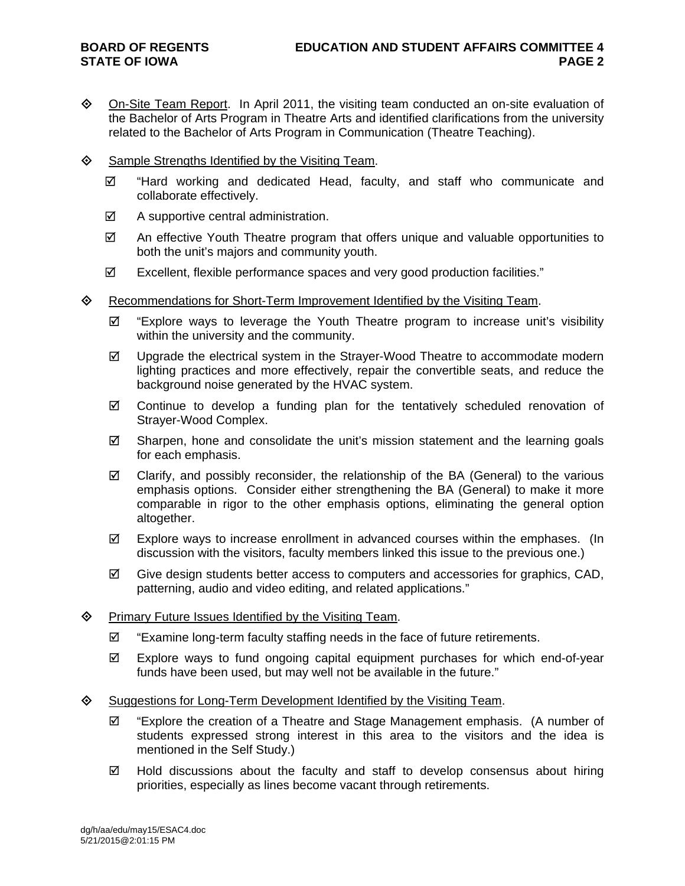- On-Site Team Report. In April 2011, the visiting team conducted an on-site evaluation of the Bachelor of Arts Program in Theatre Arts and identified clarifications from the university related to the Bachelor of Arts Program in Communication (Theatre Teaching).
- $\diamond$  Sample Strengths Identified by the Visiting Team.
	- $\boxtimes$  "Hard working and dedicated Head, faculty, and staff who communicate and collaborate effectively.
	- $\boxtimes$  A supportive central administration.
	- An effective Youth Theatre program that offers unique and valuable opportunities to both the unit's majors and community youth.
	- Excellent, flexible performance spaces and very good production facilities."
- $\Leftrightarrow$  Recommendations for Short-Term Improvement Identified by the Visiting Team.
	- $\boxtimes$  "Explore ways to leverage the Youth Theatre program to increase unit's visibility within the university and the community.
	- $\boxtimes$  Upgrade the electrical system in the Strayer-Wood Theatre to accommodate modern lighting practices and more effectively, repair the convertible seats, and reduce the background noise generated by the HVAC system.
	- Continue to develop a funding plan for the tentatively scheduled renovation of Strayer-Wood Complex.
	- $\boxtimes$  Sharpen, hone and consolidate the unit's mission statement and the learning goals for each emphasis.
	- $\boxtimes$  Clarify, and possibly reconsider, the relationship of the BA (General) to the various emphasis options. Consider either strengthening the BA (General) to make it more comparable in rigor to the other emphasis options, eliminating the general option altogether.
	- $\boxtimes$  Explore ways to increase enrollment in advanced courses within the emphases. (In discussion with the visitors, faculty members linked this issue to the previous one.)
	- $\boxtimes$  Give design students better access to computers and accessories for graphics, CAD, patterning, audio and video editing, and related applications."

### $\Diamond$  Primary Future Issues Identified by the Visiting Team.

- $\boxtimes$  "Examine long-term faculty staffing needs in the face of future retirements.
- $\boxtimes$  Explore ways to fund ongoing capital equipment purchases for which end-of-year funds have been used, but may well not be available in the future."

### ♦ Suggestions for Long-Term Development Identified by the Visiting Team.

- $\boxtimes$  "Explore the creation of a Theatre and Stage Management emphasis. (A number of students expressed strong interest in this area to the visitors and the idea is mentioned in the Self Study.)
- $\boxtimes$  Hold discussions about the faculty and staff to develop consensus about hiring priorities, especially as lines become vacant through retirements.